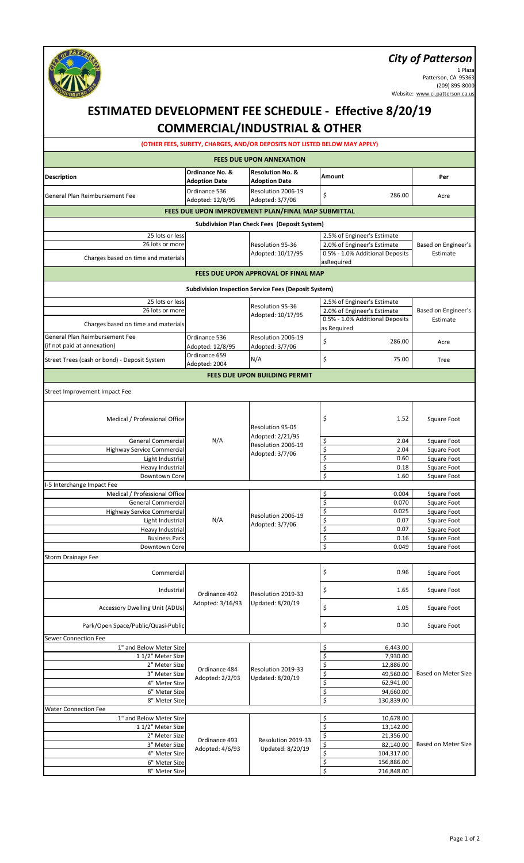#### *City of Patterson*



1 Plaza Patterson, CA 95363 (209) 895-8000 Website: www.ci.patterson.ca.us

#### **Description Ordinance No. & Adoption Date Resolution No. & Adoption Date Amount Per** General Plan Reimbursement Fee **Ordinance 536** Adopted: 12/8/95 Resolution 2006-19 Adopted: 3/7/06 \$ 286.00 Acre 25 lots or less 2.5% of Engineer's Estimate 26 lots or more<br>
2.0% of Engineer's Estimate<br>
2.0% of Engineer's Estimate<br>
2.0% of Engineer's Estimate<br>
2.0% of Engineer's Estimate Charges based on time and materials asRequired 25 lots or less 25 lots or less 2.5% of Engineer's Estimate 26 lots or more<br>
Adopted: 10/17/95 Based on Engineer's Estimate<br>
Adopted: 10/17/95 Based on Engineer's Charges based on time and materials **Charges based on time and materials** and materials **Charges based on time and materials** as Required General Plan Reimbursement Fee (if not paid at annexation) Ordinance 536 Adopted: 12/8/95 Resolution 2006-19 Resolution 2006-19<br>Adopted: 3/7/06 | \$ 286.00 | Acre Street Trees (cash or bond) - Deposit System Ordinance 659 Ordinance 659<br>Adopted: 2004 N/A 5 75.00 Tree Medical / Professional Office **1.52** Square Foot **1.52** Square Foot General Commercial M/A Aleopted: 2/2/95 (Super Square Foot Square Foot Highway Service Commercial \$ 2.04 Square Foot Light Industrial **Example 2.1 Studies 1.0** Contract Contract Contract Contract Contract Contract Contract Contra<br>
Square Foot Heavy Industrial **Example 2018** Square Foot **18 Square Foot** 5 All 2018 Square Foot 3 All 2018 Square Foot 3 All 2019 Square Foot 3 All 2019 Square Foot 3 All 2019 Square Foot 3 All 2019 Square Foot 3 All 2019 Square Foot Downtown Core **by Core and Core in the Core of Core in the Square Foot** Square Foot Medical / Professional Office **1980** Square Foot **1980** Square Foot **1980** Square Foot **1980** Square Foot **1980** Square Foot General Commercial Commercial Commercial Commercial Commercial Commercial Commercial Commercial Commercial Commercial Commercial Commercial Commercial Commercial Commercial Commercial Commercial Commercial Commercial Comme Highway Service Commercial **Execution 2006-19** 5 Commercial **S** 0.025 Square Foot Light Industrial M/A Nesolution 2000-19<br>Adopted: 2/7/06 Square Foot Heavy Industrial Measurement Meanwhile Meanwhile Meanwhile Specific Structure of Square Foot Business Park **business Park 1998**<br>
Business Park 1998<br>
Square Foot 1999<br>
Square Foot 1999<br>
Square Foot 1999 Downtown Core **by Community Contract Contract Contract Contract Contract Contract Contract Contract Contract Contract Contract Contract Contract Contract Contract Contract Contract Contract Contract Contract Contract Contr** Commercial Commercial Commercial Commercial Commercial Commercial Commercial Commercial Commercial Commercial Commercial Commercial Commercial Commercial Commercial Commercial Commercial Commercial Commercial Commercial Co Industrial Ordinance 492 Resolution 2019-33 \Square Foot Accessory Dwelling Unit (ADUs) Adopted: 3/16/93 Updated: 6/20/19 | S Park/Open Space/Public/Quasi-Public **but a contract to the contract of the contract of the contract of the contract of the contract of the contract of the contract of the contract of the contract of the contract of the con** 1" and Below Meter Size \$ 6,443.00  $11/2$ " Meter Size  $\frac{1}{2}$  7,930.00 2" Meter Size \$ 12,886.00  $\begin{array}{|c|c|c|c|c|c|}\n \hline \text{3" Meter Size} & \text{Adopted: } 2/2/93 & \text{Update: } 8/20/19 & & \text{\textsterling}} & \text{\textsterling} & \text{\textsterling} & \text{\textsterling} & \text{\textsterling} & \text{\textsterling} & \text{\textsterling} & \text{\textsterling} & \text{\textsterling} & \text{\textsterling} & \text{\textsterling} & \text{\textsterling} & \text{\textsterling} & \text{\textsterling} & \text{\textsterling} & \text{\textsterling} & \text{\textsterling} & \text{\textsterling} & \text{\textsterling} & \text$  $4"$  Meter Size  $\begin{bmatrix} 62.941.00 \\ 6 \end{bmatrix}$ 6" Meter Size \$ 94,660.00 8" Meter Size 3.130,839.00 1" and Below Meter Size **10,678.00** 1 1/2" Meter Size 13,142.00  $\begin{array}{c|c|c|c|c} 2^{\prime\prime} \text{ Meter Size} & & & \\ 2^{\prime\prime} \text{ M.} & \text{ A.} & \text{ A.} & \text{ B.} & \text{ B.} & \text{ B.} \\ \hline \end{array}$  Ordinance 493 Resolution 2019-33  $\begin{array}{c|c} 5 & 21,356.00 & & \\ \hline \end{array}$  $\overline{3}$ " Meter Size  $\overline{3}$  Meter Size  $\overline{3}$  Meter Size  $\overline{3}$  Meter Size  $\overline{3}$  $4"$  Meter Size  $\left\lvert \begin{array}{c} \text{Aup} \\ \text{Aup} \end{array} \right\rvert$   $\left\lvert \begin{array}{c} \text{Bup} \\ \text{Bup} \end{array} \right\rvert$   $\left\lvert \begin{array}{c} \text{Bup} \\ \text{Bup} \end{array} \right\rvert$   $\left\lvert \begin{array}{c} \text{Cup} \\ \text{Dup} \end{array} \right\rvert$ 6" Meter Size 3.156,886.00  $8''$  Meter Size 216,848.00 Resolution 95-36 Estimate **ESTIMATED DEVELOPMENT FEE SCHEDULE - Effective 8/20/19 COMMERCIAL/INDUSTRIAL & OTHER (OTHER FEES, SURETY, CHARGES, AND/OR DEPOSITS NOT LISTED BELOW MAY APPLY) FEES DUE UPON ANNEXATION FEES DUE UPON IMPROVEMENT PLAN/FINAL MAP SUBMITTAL Subdivision Plan Check Fees (Deposit System)** Resolution 95-36 Adopted: 10/17/95 Based on Engineer's Estimate **FEES DUE UPON APPROVAL OF FINAL MAP Subdivision Inspection Service Fees (Deposit System)** Sewer Connection Fee Water Connection Fee Ordinance 492 Adopted: 3/16/93 Updated: 8/20/19 Ordinance 484 Adopted: 2/2/93 Resolution 2019-33 **FEES DUE UPON BUILDING PERMIT** Based on Meter Size Based on Meter Size Street Improvement Impact Fee N/A Resolution 95-05 Adopted: 2/21/95 Resolution 2006-19 Adopted: 3/7/06 I-5 Interchange Impact Fee Resolution 2006-19 Adopted: 3/7/06 Storm Drainage Fee Ordinance 493 Adopted: 4/6/93 Updated: 8/20/19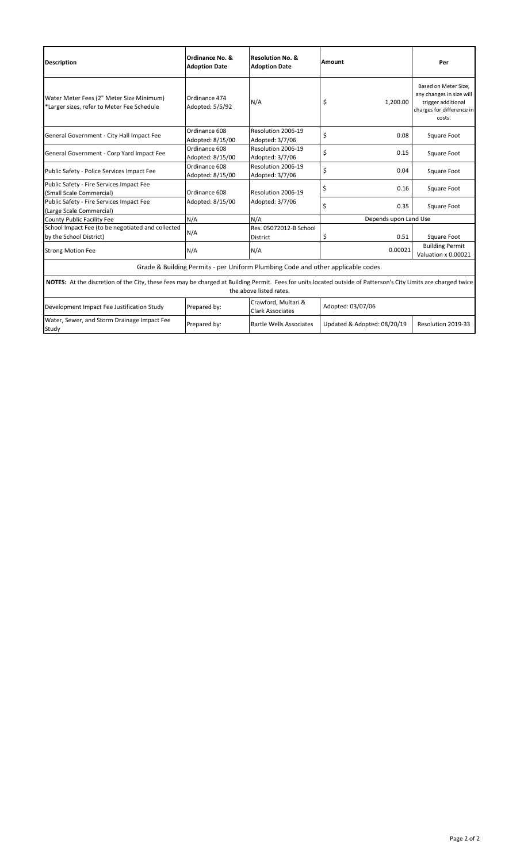| <b>Description</b>                                                                                                                                                                         | Ordinance No. &<br><b>Adoption Date</b> | <b>Resolution No. &amp;</b><br><b>Adoption Date</b> | Amount                      | Per                                                                                                           |  |
|--------------------------------------------------------------------------------------------------------------------------------------------------------------------------------------------|-----------------------------------------|-----------------------------------------------------|-----------------------------|---------------------------------------------------------------------------------------------------------------|--|
| Water Meter Fees (2" Meter Size Minimum)<br>*Larger sizes, refer to Meter Fee Schedule                                                                                                     | Ordinance 474<br>Adopted: 5/5/92        | N/A                                                 | \$<br>1,200.00              | Based on Meter Size,<br>any changes in size will<br>trigger additional<br>charges for difference in<br>costs. |  |
| General Government - City Hall Impact Fee                                                                                                                                                  | Ordinance 608<br>Adopted: 8/15/00       | Resolution 2006-19<br>Adopted: 3/7/06               | \$<br>0.08                  | Square Foot                                                                                                   |  |
| General Government - Corp Yard Impact Fee                                                                                                                                                  | Ordinance 608<br>Adopted: 8/15/00       | Resolution 2006-19<br>Adopted: 3/7/06               | \$<br>0.15                  | Square Foot                                                                                                   |  |
| Public Safety - Police Services Impact Fee                                                                                                                                                 | Ordinance 608<br>Adopted: 8/15/00       | Resolution 2006-19<br>Adopted: 3/7/06               | \$<br>0.04                  | Square Foot                                                                                                   |  |
| Public Safety - Fire Services Impact Fee<br>(Small Scale Commercial)                                                                                                                       | Ordinance 608<br>Adopted: 8/15/00       | Resolution 2006-19<br>Adopted: 3/7/06               | \$<br>0.16                  | Square Foot                                                                                                   |  |
| Public Safety - Fire Services Impact Fee<br>(Large Scale Commercial)                                                                                                                       |                                         |                                                     | \$<br>0.35                  | Square Foot                                                                                                   |  |
| County Public Facility Fee                                                                                                                                                                 | N/A                                     | N/A                                                 | Depends upon Land Use       |                                                                                                               |  |
| School Impact Fee (to be negotiated and collected<br>by the School District)                                                                                                               | N/A                                     | Res. 05072012-B School<br><b>District</b>           | \$<br>0.51                  | Square Foot                                                                                                   |  |
| <b>Strong Motion Fee</b>                                                                                                                                                                   | N/A                                     | N/A                                                 | 0.00021                     | <b>Building Permit</b><br>Valuation x 0.00021                                                                 |  |
| Grade & Building Permits - per Uniform Plumbing Code and other applicable codes.                                                                                                           |                                         |                                                     |                             |                                                                                                               |  |
| NOTES: At the discretion of the City, these fees may be charged at Building Permit. Fees for units located outside of Patterson's City Limits are charged twice<br>the above listed rates. |                                         |                                                     |                             |                                                                                                               |  |
| Development Impact Fee Justification Study                                                                                                                                                 | Prepared by:                            | Crawford, Multari &<br><b>Clark Associates</b>      | Adopted: 03/07/06           |                                                                                                               |  |
| Water, Sewer, and Storm Drainage Impact Fee<br>Study                                                                                                                                       | Prepared by:                            | <b>Bartle Wells Associates</b>                      | Updated & Adopted: 08/20/19 | Resolution 2019-33                                                                                            |  |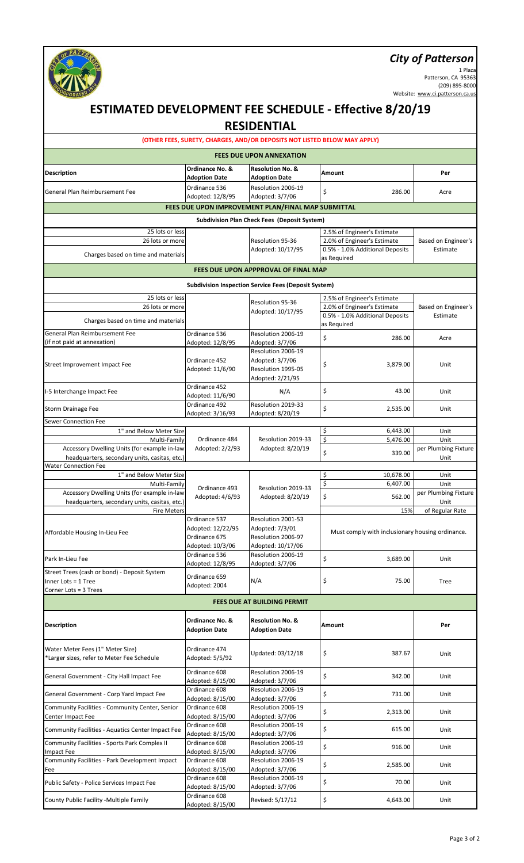# *City of Patterson*



1 Plaza Patterson, CA 95363 (209) 895-8000 Website: www.ci.patterson.ca.us

|                                                                                               |                                                                         | <b>RESIDENTIAL</b>                                                               | <b>ESTIMATED DEVELOPMENT FEE SCHEDULE - Effective 8/20/19</b> |                              |
|-----------------------------------------------------------------------------------------------|-------------------------------------------------------------------------|----------------------------------------------------------------------------------|---------------------------------------------------------------|------------------------------|
|                                                                                               |                                                                         | (OTHER FEES, SURETY, CHARGES, AND/OR DEPOSITS NOT LISTED BELOW MAY APPLY)        |                                                               |                              |
|                                                                                               |                                                                         | <b>FEES DUE UPON ANNEXATION</b>                                                  |                                                               |                              |
| <b>Description</b>                                                                            | Ordinance No. &<br><b>Adoption Date</b>                                 | <b>Resolution No. &amp;</b><br><b>Adoption Date</b>                              | <b>Amount</b>                                                 | Per                          |
| General Plan Reimbursement Fee                                                                | Ordinance 536                                                           | Resolution 2006-19                                                               | \$<br>286.00                                                  | Acre                         |
|                                                                                               | Adopted: 12/8/95                                                        | Adopted: 3/7/06<br>FEES DUE UPON IMPROVEMENT PLAN/FINAL MAP SUBMITTAL            |                                                               |                              |
|                                                                                               |                                                                         | <b>Subdivision Plan Check Fees (Deposit System)</b>                              |                                                               |                              |
| 25 lots or less                                                                               |                                                                         |                                                                                  | 2.5% of Engineer's Estimate                                   |                              |
| 26 lots or more                                                                               |                                                                         | Resolution 95-36                                                                 | 2.0% of Engineer's Estimate                                   | Based on Engineer's          |
| Charges based on time and materials                                                           |                                                                         | Adopted: 10/17/95                                                                | 0.5% - 1.0% Additional Deposits<br>as Required                | Estimate                     |
|                                                                                               |                                                                         | FEES DUE UPON APPPROVAL OF FINAL MAP                                             |                                                               |                              |
|                                                                                               |                                                                         | <b>Subdivision Inspection Service Fees (Deposit System)</b>                      |                                                               |                              |
| 25 lots or less                                                                               |                                                                         |                                                                                  | 2.5% of Engineer's Estimate                                   |                              |
| 26 lots or more                                                                               |                                                                         | Resolution 95-36<br>Adopted: 10/17/95                                            | 2.0% of Engineer's Estimate                                   | Based on Engineer's          |
| Charges based on time and materials                                                           |                                                                         |                                                                                  | 0.5% - 1.0% Additional Deposits                               | Estimate                     |
| General Plan Reimbursement Fee                                                                | Ordinance 536                                                           | Resolution 2006-19                                                               | as Required                                                   |                              |
| (if not paid at annexation)                                                                   | Adopted: 12/8/95                                                        | Adopted: 3/7/06                                                                  | \$<br>286.00                                                  | Acre                         |
| Street Improvement Impact Fee                                                                 | Ordinance 452<br>Adopted: 11/6/90                                       | Resolution 2006-19<br>Adopted: 3/7/06<br>Resolution 1995-05<br>Adopted: 2/21/95  | \$<br>3,879.00                                                | Unit                         |
| I-5 Interchange Impact Fee                                                                    | Ordinance 452<br>Adopted: 11/6/90                                       | N/A                                                                              | \$<br>43.00                                                   | Unit                         |
| Storm Drainage Fee                                                                            | Ordinance 492<br>Adopted: 3/16/93                                       | Resolution 2019-33<br>Adopted: 8/20/19                                           | \$<br>2,535.00                                                | Unit                         |
| Sewer Connection Fee                                                                          |                                                                         |                                                                                  |                                                               |                              |
| 1" and Below Meter Size<br>Multi-Family                                                       | Ordinance 484                                                           | Resolution 2019-33                                                               | \$<br>6,443.00<br>\$<br>5,476.00                              | Unit<br>Unit                 |
| Accessory Dwelling Units (for example in-law<br>headquarters, secondary units, casitas, etc.) | Adopted: 2/2/93                                                         | Adopted: 8/20/19                                                                 | \$<br>339.00                                                  | per Plumbing Fixture<br>Unit |
| <b>Water Connection Fee</b><br>1" and Below Meter Size                                        |                                                                         |                                                                                  | \$<br>10,678.00                                               | Unit                         |
| Multi-Family                                                                                  | Ordinance 493                                                           | Resolution 2019-33                                                               | \$<br>6,407.00                                                | Unit                         |
| Accessory Dwelling Units (for example in-law<br>headquarters, secondary units, casitas, etc.) | Adopted: 4/6/93                                                         | Adopted: 8/20/19                                                                 | \$<br>562.00                                                  | per Plumbing Fixture<br>Unit |
| <b>Fire Meters</b><br>Affordable Housing In-Lieu Fee                                          | Ordinance 537<br>Adopted: 12/22/95<br>Ordinance 675<br>Adopted: 10/3/06 | Resolution 2001-53<br>Adopted: 7/3/01<br>Resolution 2006-97<br>Adopted: 10/17/06 | 15%<br>Must comply with inclusionary housing ordinance.       | of Regular Rate              |
| Park In-Lieu Fee                                                                              | Ordinance 536<br>Adopted: 12/8/95                                       | Resolution 2006-19<br>Adopted: 3/7/06                                            | \$<br>3,689.00                                                | Unit                         |
| Street Trees (cash or bond) - Deposit System<br>Inner Lots = 1 Tree<br>Corner Lots = 3 Trees  | Ordinance 659<br>Adopted: 2004                                          | N/A                                                                              | \$<br>75.00                                                   | Tree                         |
|                                                                                               |                                                                         | <b>FEES DUE AT BUILDING PERMIT</b>                                               |                                                               |                              |
| Description                                                                                   | Ordinance No. &<br><b>Adoption Date</b>                                 | <b>Resolution No. &amp;</b><br><b>Adoption Date</b>                              | Amount                                                        | Per                          |
| Water Meter Fees (1" Meter Size)<br>*Larger sizes, refer to Meter Fee Schedule                | Ordinance 474<br>Adopted: 5/5/92                                        | Updated: 03/12/18                                                                | \$<br>387.67                                                  | Unit                         |
| General Government - City Hall Impact Fee                                                     | Ordinance 608<br>Adopted: 8/15/00                                       | Resolution 2006-19<br>Adopted: 3/7/06                                            | \$<br>342.00                                                  | Unit                         |
| General Government - Corp Yard Impact Fee                                                     | Ordinance 608<br>Adopted: 8/15/00                                       | Resolution 2006-19<br>Adopted: 3/7/06                                            | \$<br>731.00                                                  | Unit                         |
| Community Facilities - Community Center, Senior<br>Center Impact Fee                          | Ordinance 608<br>Adopted: 8/15/00                                       | Resolution 2006-19<br>Adopted: 3/7/06                                            | \$<br>2,313.00                                                | Unit                         |
| Community Facilities - Aquatics Center Impact Fee                                             | Ordinance 608<br>Adopted: 8/15/00                                       | Resolution 2006-19<br>Adopted: 3/7/06                                            | \$<br>615.00                                                  | Unit                         |
| Community Facilities - Sports Park Complex II<br>Impact Fee                                   | Ordinance 608<br>Adopted: 8/15/00                                       | Resolution 2006-19<br>Adopted: 3/7/06                                            | \$<br>916.00                                                  | Unit                         |
| Community Facilities - Park Development Impact<br>Fee                                         | Ordinance 608<br>Adopted: 8/15/00                                       | Resolution 2006-19<br>Adopted: 3/7/06                                            | \$<br>2,585.00                                                | Unit                         |
| Public Safety - Police Services Impact Fee                                                    | Ordinance 608<br>Adopted: 8/15/00                                       | Resolution 2006-19<br>Adopted: 3/7/06                                            | \$<br>70.00                                                   | Unit                         |
| County Public Facility -Multiple Family                                                       | Ordinance 608<br>Adopted: 8/15/00                                       | Revised: 5/17/12                                                                 | \$<br>4,643.00                                                | Unit                         |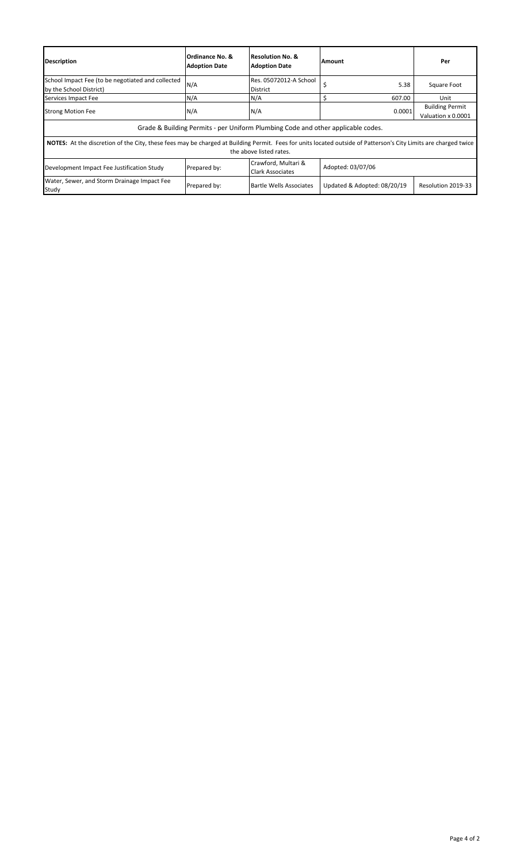| <b>Description</b>                                                                                                                                                                         | Ordinance No. &<br><b>Adoption Date</b> | Resolution No. &<br><b>Adoption Date</b>       | Amount                      | Per                                          |  |
|--------------------------------------------------------------------------------------------------------------------------------------------------------------------------------------------|-----------------------------------------|------------------------------------------------|-----------------------------|----------------------------------------------|--|
| School Impact Fee (to be negotiated and collected<br>by the School District)                                                                                                               | N/A                                     | Res. 05072012-A School<br><b>District</b>      | \$<br>5.38                  | Square Foot                                  |  |
| Services Impact Fee                                                                                                                                                                        | N/A                                     | N/A                                            | 607.00                      | Unit                                         |  |
| <b>Strong Motion Fee</b>                                                                                                                                                                   | N/A                                     | N/A                                            | 0.0001                      | <b>Building Permit</b><br>Valuation x 0.0001 |  |
| Grade & Building Permits - per Uniform Plumbing Code and other applicable codes.                                                                                                           |                                         |                                                |                             |                                              |  |
| NOTES: At the discretion of the City, these fees may be charged at Building Permit. Fees for units located outside of Patterson's City Limits are charged twice<br>the above listed rates. |                                         |                                                |                             |                                              |  |
| Development Impact Fee Justification Study                                                                                                                                                 | Prepared by:                            | Crawford, Multari &<br><b>Clark Associates</b> | Adopted: 03/07/06           |                                              |  |
| Water, Sewer, and Storm Drainage Impact Fee<br>Study                                                                                                                                       | Prepared by:                            | Bartle Wells Associates                        | Updated & Adopted: 08/20/19 | Resolution 2019-33                           |  |